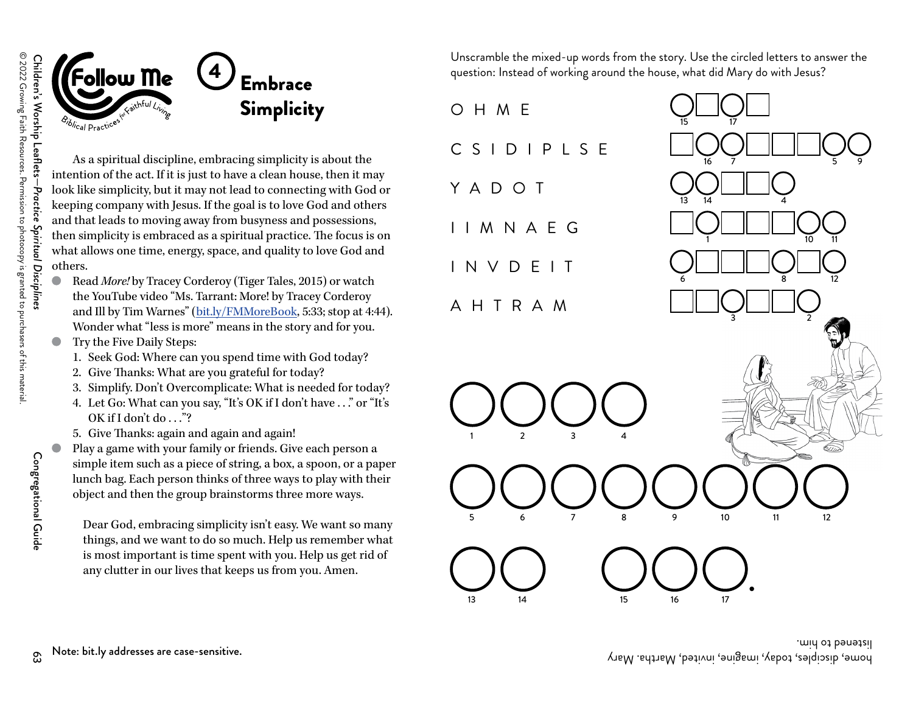



As a spiritual discipline, embracing simplicity is about the intention of the act. If it is just to have a clean house, then it may look like simplicity, but it may not lead to connecting with God or keeping company with Jesus. If the goal is to love God and others and that leads to moving away from busyness and possessions, then simplicity is embraced as a spiritual practice. The focus is on what allows one time, energy, space, and quality to love God and others.

- Read *More!* by Tracey Corderoy (Tiger Tales, 2015) or watch the YouTube video "Ms. Tarrant: More! by Tracey Corderoy and Ill by Tim Warnes" ([bit.ly/FMMoreBook](https://www.youtube.com/watch?v=JukxTZsA1R0), 5:33; stop at 4:44). Wonder what "less is more" means in the story and for you.
- Try the Five Daily Steps:
	- 1. Seek God: Where can you spend time with God today?
	- 2. Give Thanks: What are you grateful for today?
	- 3. Simplify. Don't Overcomplicate: What is needed for today?
	- 4. Let Go: What can you say, "It's OK if I don't have . . ." or "It's OK if I don't do  $\ldots$ "?
	- 5. Give Thanks: again and again and again!
- Play a game with your family or friends. Give each person a simple item such as a piece of string, a box, a spoon, or a paper lunch bag. Each person thinks of three ways to play with their object and then the group brainstorms three more ways.

Dear God, embracing simplicity isn't easy. We want so many things, and we want to do so much. Help us remember what is most important is time spent with you. Help us get rid of any clutter in our lives that keeps us from you. Amen.

Unscramble the mixed-up words from the story. Use the circled letters to answer the question: Instead of working around the house, what did Mary do with Jesus?

O H M EC S I D I P L S EY A D O T I I M N A E G I N V D E I TA H T R A M15 17 1613314 1631 2 3 45 6 7 89 10

15 16 17

13

14



mid ot be hit.ly addresses are case-sensitive.<br>Note: bit.ly addresses are case-sensitive. "And the case of the case of the case of the case of the case of th

Congregational Guide

Congregational Guide